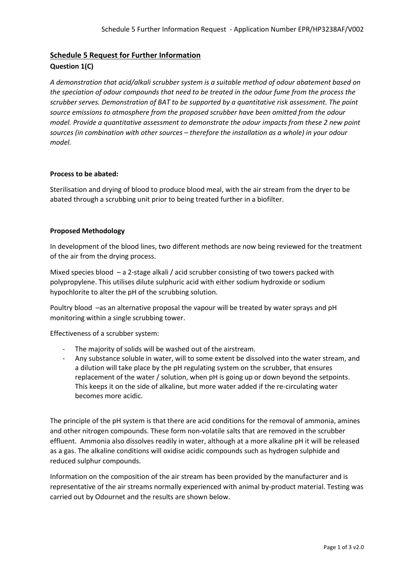# **Schedule 5 Request for Further Information**

# **Question 1(C)**

*A demonstration that acid/alkali scrubber system is a suitable method of odour abatement based on the speciation of odour compounds that need to be treated in the odour fume from the process the scrubber serves. Demonstration of BAT to be supported by a quantitative risk assessment. The point source emissions to atmosphere from the proposed scrubber have been omitted from the odour model. Provide a quantitative assessment to demonstrate the odour impacts from these 2 new point sources (in combination with other sources – therefore the installation as a whole) in your odour model.*

### **Process to be abated:**

Sterilisation and drying of blood to produce blood meal, with the air stream from the dryer to be abated through a scrubbing unit prior to being treated further in a biofilter.

### **Proposed Methodology**

In development of the blood lines, two different methods are now being reviewed for the treatment of the air from the drying process.

Mixed species blood – a 2-stage alkali / acid scrubber consisting of two towers packed with polypropylene. This utilises dilute sulphuric acid with either sodium hydroxide or sodium hypochlorite to alter the pH of the scrubbing solution.

Poultry blood –as an alternative proposal the vapour will be treated by water sprays and pH monitoring within a single scrubbing tower.

Effectiveness of a scrubber system:

- The majority of solids will be washed out of the airstream.
- Any substance soluble in water, will to some extent be dissolved into the water stream, and a dilution will take place by the pH regulating system on the scrubber, that ensures replacement of the water / solution, when pH is going up or down beyond the setpoints. This keeps it on the side of alkaline, but more water added if the re-circulating water becomes more acidic.

The principle of the pH system is that there are acid conditions for the removal of ammonia, amines and other nitrogen compounds. These form non-volatile salts that are removed in the scrubber effluent. Ammonia also dissolves readily in water, although at a more alkaline pH it will be released as a gas. The alkaline conditions will oxidise acidic compounds such as hydrogen sulphide and reduced sulphur compounds.

Information on the composition of the air stream has been provided by the manufacturer and is representative of the air streams normally experienced with animal by-product material. Testing was carried out by Odournet and the results are shown below.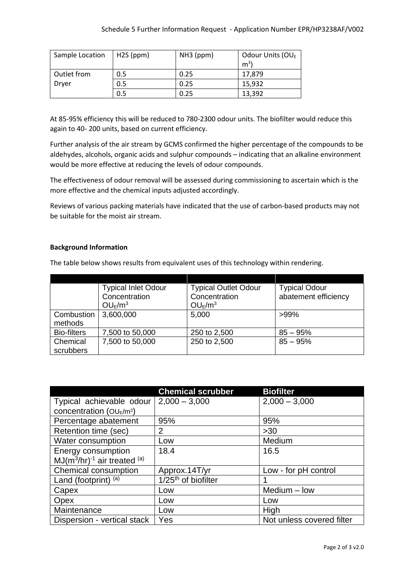| Sample Location | $H2S$ (ppm) | NH3 (ppm) | Odour Units (OU <sub>E</sub> |
|-----------------|-------------|-----------|------------------------------|
|                 |             |           | m <sup>3</sup>               |
| Outlet from     | 0.5         | 0.25      | 17,879                       |
| Dryer           | 0.5         | 0.25      | 15.932                       |
|                 | 0.5         | 0.25      | 13,392                       |

At 85-95% efficiency this will be reduced to 780-2300 odour units. The biofilter would reduce this again to 40- 200 units, based on current efficiency.

Further analysis of the air stream by GCMS confirmed the higher percentage of the compounds to be aldehydes, alcohols, organic acids and sulphur compounds – indicating that an alkaline environment would be more effective at reducing the levels of odour compounds.

The effectiveness of odour removal will be assessed during commissioning to ascertain which is the more effective and the chemical inputs adjusted accordingly.

Reviews of various packing materials have indicated that the use of carbon-based products may not be suitable for the moist air stream.

## **Background Information**

The table below shows results from equivalent uses of this technology within rendering.

|                       | <b>Typical Inlet Odour</b><br>Concentration<br>OU <sub>E</sub> /m <sup>3</sup> | <b>Typical Outlet Odour</b><br>Concentration<br>$OU_E/m^3$ | <b>Typical Odour</b><br>abatement efficiency |
|-----------------------|--------------------------------------------------------------------------------|------------------------------------------------------------|----------------------------------------------|
| Combustion<br>methods | 3,600,000                                                                      | 5,000                                                      | $>99\%$                                      |
| <b>Bio-filters</b>    | 7,500 to 50,000                                                                | 250 to 2,500                                               | $85 - 95%$                                   |
| Chemical<br>scrubbers | 7,500 to 50,000                                                                | 250 to 2,500                                               | $85 - 95%$                                   |

|                                   | <b>Chemical scrubber</b>        | <b>Biofilter</b>          |
|-----------------------------------|---------------------------------|---------------------------|
| Typical achievable odour          | $2,000 - 3,000$                 | $2,000 - 3,000$           |
| concentration ( $OU_E/m^3$ )      |                                 |                           |
| Percentage abatement              | 95%                             | 95%                       |
| Retention time (sec)              | 2                               | $>30$                     |
| Water consumption                 | Low                             | Medium                    |
| Energy consumption                | 18.4                            | 16.5                      |
| $MJ(m^3/hr)^{-1}$ air treated (a) |                                 |                           |
| Chemical consumption              | Approx.14T/yr                   | Low - for pH control      |
| Land (footprint) (a)              | 1/25 <sup>th</sup> of biofilter |                           |
| Capex                             | Low                             | Medium - low              |
| Opex                              | Low                             | Low                       |
| Maintenance                       | Low                             | High                      |
| Dispersion - vertical stack       | Yes                             | Not unless covered filter |